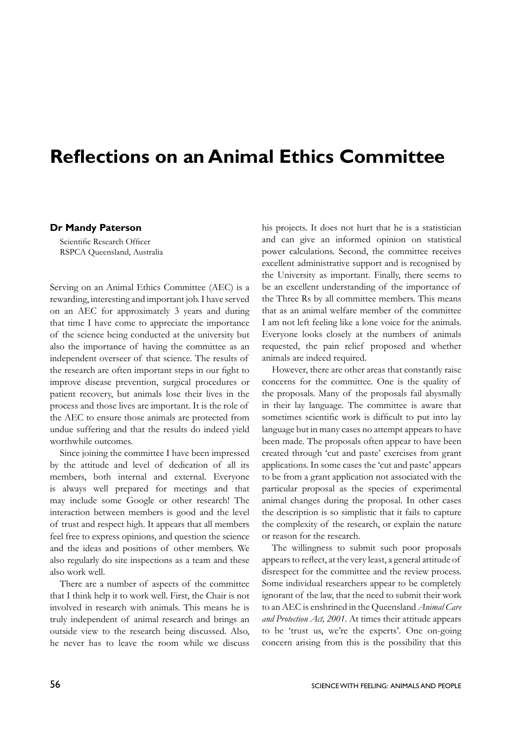## **Reflections on an Animal Ethics Committee**

## **Dr Mandy Paterson**

Scientific Research Officer RSPCA Queensland, Australia

Serving on an Animal Ethics Committee (AEC) is a rewarding, interesting and important job. I have served on an AEC for approximately 3 years and during that time I have come to appreciate the importance of the science being conducted at the university but also the importance of having the committee as an independent overseer of that science. The results of the research are often important steps in our fight to improve disease prevention, surgical procedures or patient recovery, but animals lose their lives in the process and those lives are important. It is the role of the AEC to ensure those animals are protected from undue suffering and that the results do indeed yield worthwhile outcomes.

Since joining the committee I have been impressed by the attitude and level of dedication of all its members, both internal and external. Everyone is always well prepared for meetings and that may include some Google or other research! The interaction between members is good and the level of trust and respect high. It appears that all members feel free to express opinions, and question the science and the ideas and positions of other members. We also regularly do site inspections as a team and these also work well.

There are a number of aspects of the committee that I think help it to work well. First, the Chair is not involved in research with animals. This means he is truly independent of animal research and brings an outside view to the research being discussed. Also, he never has to leave the room while we discuss his projects. It does not hurt that he is a statistician and can give an informed opinion on statistical power calculations. Second, the committee receives excellent administrative support and is recognised by the University as important. Finally, there seems to be an excellent understanding of the importance of the Three Rs by all committee members. This means that as an animal welfare member of the committee I am not left feeling like a lone voice for the animals. Everyone looks closely at the numbers of animals requested, the pain relief proposed and whether animals are indeed required.

However, there are other areas that constantly raise concerns for the committee. One is the quality of the proposals. Many of the proposals fail abysmally in their lay language. The committee is aware that sometimes scientific work is difficult to put into lay language but in many cases no attempt appears to have been made. The proposals often appear to have been created through 'cut and paste' exercises from grant applications. In some cases the 'cut and paste' appears to be from a grant application not associated with the particular proposal as the species of experimental animal changes during the proposal. In other cases the description is so simplistic that it fails to capture the complexity of the research, or explain the nature or reason for the research.

The willingness to submit such poor proposals appears to reflect, at the very least, a general attitude of disrespect for the committee and the review process. Some individual researchers appear to be completely ignorant of the law, that the need to submit their work to an AEC is enshrined in the Queensland *Animal Care and Protection Act, 2001*. At times their attitude appears to be 'trust us, we're the experts'. One on-going concern arising from this is the possibility that this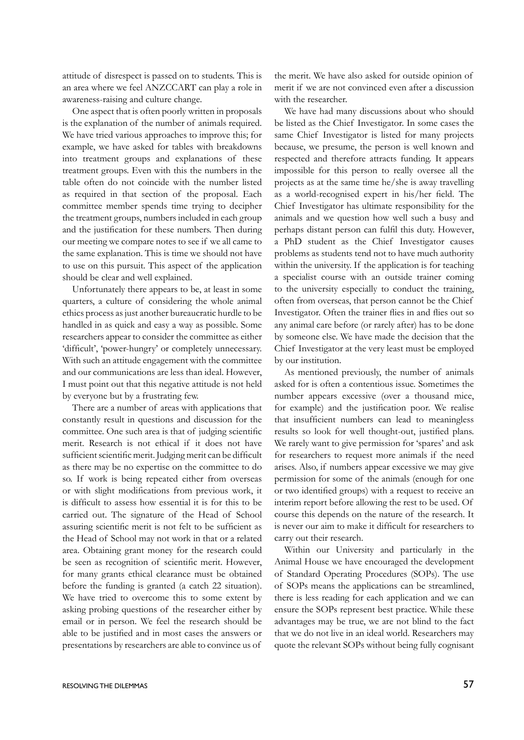attitude of disrespect is passed on to students. This is an area where we feel ANZCCART can play a role in awareness-raising and culture change.

One aspect that is often poorly written in proposals is the explanation of the number of animals required. We have tried various approaches to improve this; for example, we have asked for tables with breakdowns into treatment groups and explanations of these treatment groups. Even with this the numbers in the table often do not coincide with the number listed as required in that section of the proposal. Each committee member spends time trying to decipher the treatment groups, numbers included in each group and the justification for these numbers. Then during our meeting we compare notes to see if we all came to the same explanation. This is time we should not have to use on this pursuit. This aspect of the application should be clear and well explained.

Unfortunately there appears to be, at least in some quarters, a culture of considering the whole animal ethics process as just another bureaucratic hurdle to be handled in as quick and easy a way as possible. Some researchers appear to consider the committee as either 'difficult', 'power-hungry' or completely unnecessary. With such an attitude engagement with the committee and our communications are less than ideal. However, I must point out that this negative attitude is not held by everyone but by a frustrating few.

There are a number of areas with applications that constantly result in questions and discussion for the committee. One such area is that of judging scientific merit. Research is not ethical if it does not have sufficient scientific merit. Judging merit can be difficult as there may be no expertise on the committee to do so. If work is being repeated either from overseas or with slight modifications from previous work, it is difficult to assess how essential it is for this to be carried out. The signature of the Head of School assuring scientific merit is not felt to be sufficient as the Head of School may not work in that or a related area. Obtaining grant money for the research could be seen as recognition of scientific merit. However, for many grants ethical clearance must be obtained before the funding is granted (a catch 22 situation). We have tried to overcome this to some extent by asking probing questions of the researcher either by email or in person. We feel the research should be able to be justified and in most cases the answers or presentations by researchers are able to convince us of

the merit. We have also asked for outside opinion of merit if we are not convinced even after a discussion with the researcher.

We have had many discussions about who should be listed as the Chief Investigator. In some cases the same Chief Investigator is listed for many projects because, we presume, the person is well known and respected and therefore attracts funding. It appears impossible for this person to really oversee all the projects as at the same time he/she is away travelling as a world-recognised expert in his/her field. The Chief Investigator has ultimate responsibility for the animals and we question how well such a busy and perhaps distant person can fulfil this duty. However, a PhD student as the Chief Investigator causes problems as students tend not to have much authority within the university. If the application is for teaching a specialist course with an outside trainer coming to the university especially to conduct the training, often from overseas, that person cannot be the Chief Investigator. Often the trainer flies in and flies out so any animal care before (or rarely after) has to be done by someone else. We have made the decision that the Chief Investigator at the very least must be employed by our institution.

As mentioned previously, the number of animals asked for is often a contentious issue. Sometimes the number appears excessive (over a thousand mice, for example) and the justification poor. We realise that insufficient numbers can lead to meaningless results so look for well thought-out, justified plans. We rarely want to give permission for 'spares' and ask for researchers to request more animals if the need arises. Also, if numbers appear excessive we may give permission for some of the animals (enough for one or two identified groups) with a request to receive an interim report before allowing the rest to be used. Of course this depends on the nature of the research. It is never our aim to make it difficult for researchers to carry out their research.

Within our University and particularly in the Animal House we have encouraged the development of Standard Operating Procedures (SOPs). The use of SOPs means the applications can be streamlined, there is less reading for each application and we can ensure the SOPs represent best practice. While these advantages may be true, we are not blind to the fact that we do not live in an ideal world. Researchers may quote the relevant SOPs without being fully cognisant